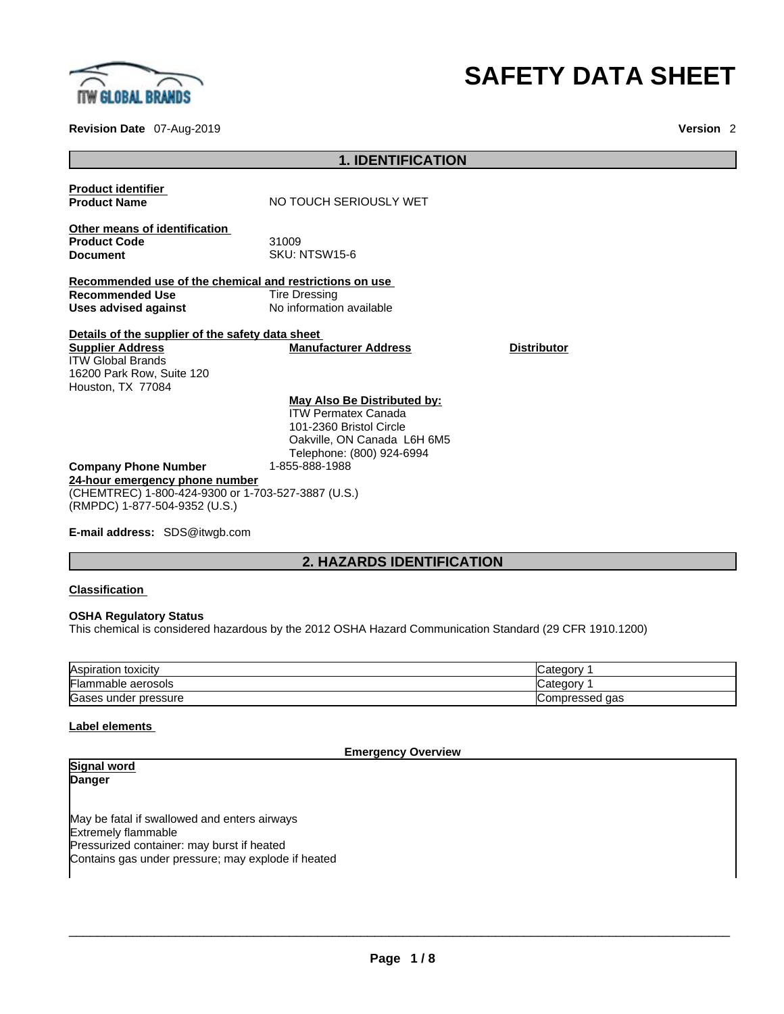

# **Revision Date** 07-Aug-2019 **Version** 2

# **SAFETY DATA SHEET**

| <b>1. IDENTIFICATION</b>                                                                                                                                  |                                                                                                                                                                    |                    |  |
|-----------------------------------------------------------------------------------------------------------------------------------------------------------|--------------------------------------------------------------------------------------------------------------------------------------------------------------------|--------------------|--|
| <b>Product identifier</b><br><b>Product Name</b>                                                                                                          | NO TOUCH SERIOUSLY WET                                                                                                                                             |                    |  |
| Other means of identification<br><b>Product Code</b><br><b>Document</b>                                                                                   | 31009<br><b>SKU: NTSW15-6</b>                                                                                                                                      |                    |  |
| Recommended use of the chemical and restrictions on use<br><b>Recommended Use</b><br>Uses advised against                                                 | <b>Tire Dressing</b><br>No information available                                                                                                                   |                    |  |
| Details of the supplier of the safety data sheet<br><b>Supplier Address</b><br><b>ITW Global Brands</b><br>16200 Park Row, Suite 120<br>Houston, TX 77084 | <b>Manufacturer Address</b>                                                                                                                                        | <b>Distributor</b> |  |
| <b>Company Phone Number</b><br>24-hour emergency phone number<br>(CHEMTREC) 1-800-424-9300 or 1-703-527-3887 (U.S.)<br>(RMPDC) 1-877-504-9352 (U.S.)      | May Also Be Distributed by:<br><b>ITW Permatex Canada</b><br>101-2360 Bristol Circle<br>Oakville, ON Canada L6H 6M5<br>Telephone: (800) 924-6994<br>1-855-888-1988 |                    |  |

**E-mail address:** SDS@itwgb.com

# **2. HAZARDS IDENTIFICATION**

#### **Classification**

#### **OSHA Regulatory Status**

This chemical is considered hazardous by the 2012 OSHA Hazard Communication Standard (29 CFR 1910.1200)

| Aspiration toxicity       | <b>Category</b>          |
|---------------------------|--------------------------|
| <b>Flammable aerosols</b> | Category                 |
| Gases under pressure      | aas<br><b>Compressed</b> |

### **Label elements**

**Emergency Overview Signal word Danger**  May be fatal if swallowed and enters airways Extremely flammable Pressurized container: may burst if heated Contains gas under pressure; may explode if heated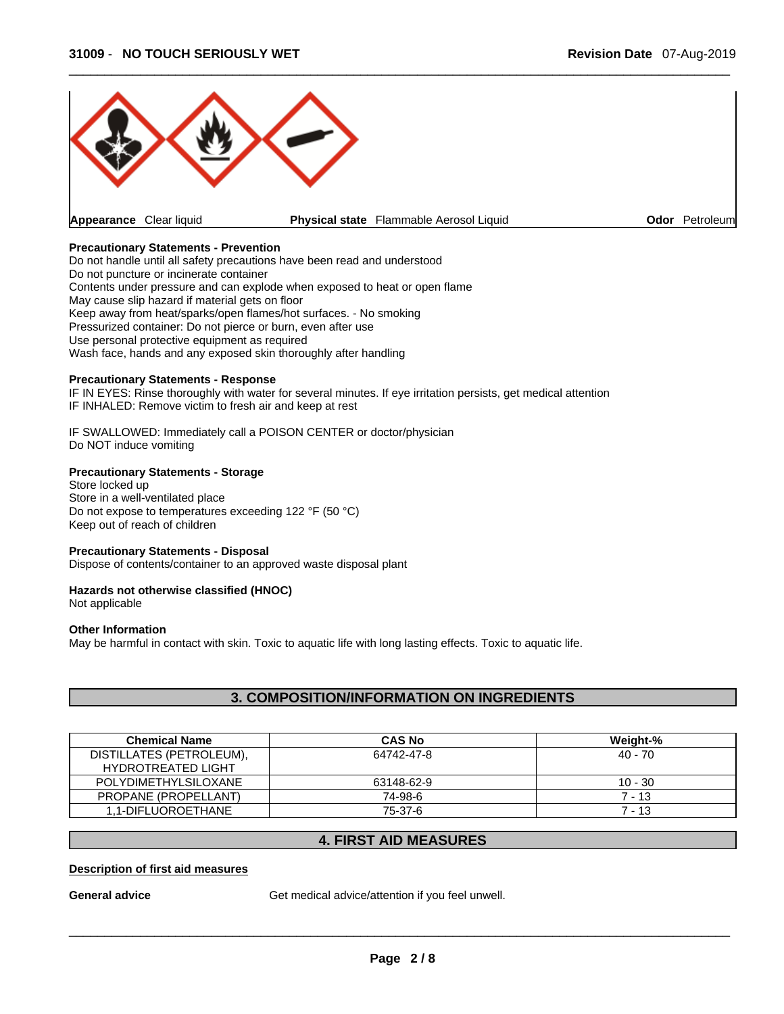

#### **Precautionary Statements - Prevention**

Do not handle until all safety precautions have been read and understood Do not puncture or incinerate container Contents under pressure and can explode when exposed to heat or open flame May cause slip hazard if material gets on floor Keep away from heat/sparks/open flames/hot surfaces. - No smoking Pressurized container: Do not pierce or burn, even after use Use personal protective equipment as required Wash face, hands and any exposed skin thoroughly after handling

#### **Precautionary Statements - Response**

IF IN EYES: Rinse thoroughly with water for several minutes. If eye irritation persists, get medical attention IF INHALED: Remove victim to fresh air and keep at rest

IF SWALLOWED: Immediately call a POISON CENTER or doctor/physician Do NOT induce vomiting

#### **Precautionary Statements - Storage**

Store locked up Store in a well-ventilated place Do not expose to temperatures exceeding 122 °F (50 °C) Keep out of reach of children

#### **Precautionary Statements - Disposal**

Dispose of contents/container to an approved waste disposal plant

#### **Hazards not otherwise classified (HNOC)**

Not applicable

#### **Other Information**

May be harmful in contact with skin. Toxic to aquatic life with long lasting effects. Toxic to aquatic life.

# **3. COMPOSITION/INFORMATION ON INGREDIENTS**

| <b>Chemical Name</b>      | <b>CAS No</b> | Weight-%  |
|---------------------------|---------------|-----------|
| DISTILLATES (PETROLEUM),  | 64742-47-8    | $40 - 70$ |
| <b>HYDROTREATED LIGHT</b> |               |           |
| POLYDIMETHYLSILOXANE      | 63148-62-9    | $10 - 30$ |
| PROPANE (PROPELLANT)      | 74-98-6       | $7 - 13$  |
| 1.1-DIFLUOROETHANE        | 75-37-6       | $7 - 13$  |

# **4. FIRST AID MEASURES**

#### **Description of first aid measures**

General **advice** Get medical advice/attention if you feel unwell.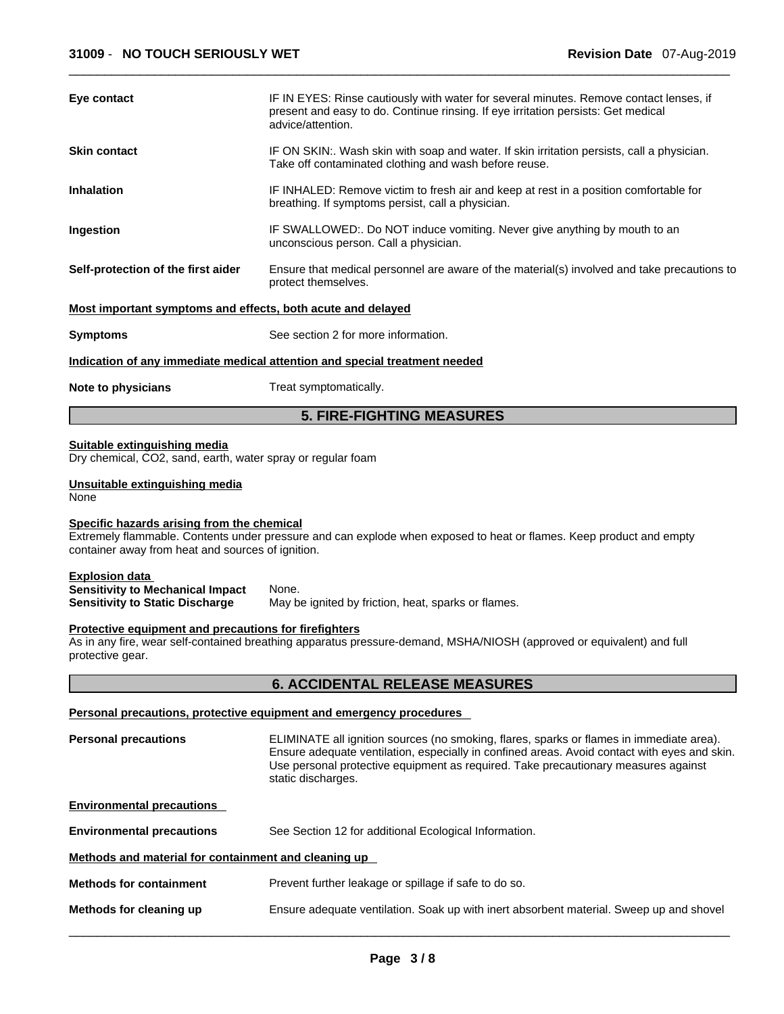| Eye contact                                                                                                                                                         | IF IN EYES: Rinse cautiously with water for several minutes. Remove contact lenses, if<br>present and easy to do. Continue rinsing. If eye irritation persists: Get medical<br>advice/attention.                                                                                                     |  |  |
|---------------------------------------------------------------------------------------------------------------------------------------------------------------------|------------------------------------------------------------------------------------------------------------------------------------------------------------------------------------------------------------------------------------------------------------------------------------------------------|--|--|
| IF ON SKIN:. Wash skin with soap and water. If skin irritation persists, call a physician.<br>Skin contact<br>Take off contaminated clothing and wash before reuse. |                                                                                                                                                                                                                                                                                                      |  |  |
| <b>Inhalation</b>                                                                                                                                                   | IF INHALED: Remove victim to fresh air and keep at rest in a position comfortable for<br>breathing. If symptoms persist, call a physician.                                                                                                                                                           |  |  |
| Ingestion                                                                                                                                                           | IF SWALLOWED:. Do NOT induce vomiting. Never give anything by mouth to an<br>unconscious person. Call a physician.                                                                                                                                                                                   |  |  |
| Self-protection of the first aider                                                                                                                                  | Ensure that medical personnel are aware of the material(s) involved and take precautions to<br>protect themselves.                                                                                                                                                                                   |  |  |
| Most important symptoms and effects, both acute and delayed                                                                                                         |                                                                                                                                                                                                                                                                                                      |  |  |
| <b>Symptoms</b>                                                                                                                                                     | See section 2 for more information.                                                                                                                                                                                                                                                                  |  |  |
|                                                                                                                                                                     | Indication of any immediate medical attention and special treatment needed                                                                                                                                                                                                                           |  |  |
| Note to physicians                                                                                                                                                  | Treat symptomatically.                                                                                                                                                                                                                                                                               |  |  |
|                                                                                                                                                                     | <b>5. FIRE-FIGHTING MEASURES</b>                                                                                                                                                                                                                                                                     |  |  |
| Suitable extinguishing media<br>Dry chemical, CO2, sand, earth, water spray or regular foam<br>Unsuitable extinguishing media<br>None                               |                                                                                                                                                                                                                                                                                                      |  |  |
| Specific hazards arising from the chemical<br>container away from heat and sources of ignition.                                                                     | Extremely flammable. Contents under pressure and can explode when exposed to heat or flames. Keep product and empty                                                                                                                                                                                  |  |  |
| <b>Explosion data</b><br><b>Sensitivity to Mechanical Impact</b><br><b>Sensitivity to Static Discharge</b>                                                          | None.<br>May be ignited by friction, heat, sparks or flames.                                                                                                                                                                                                                                         |  |  |
| <b>Protective equipment and precautions for firefighters</b><br>protective gear.                                                                                    | As in any fire, wear self-contained breathing apparatus pressure-demand, MSHA/NIOSH (approved or equivalent) and full                                                                                                                                                                                |  |  |
|                                                                                                                                                                     | <b>6. ACCIDENTAL RELEASE MEASURES</b>                                                                                                                                                                                                                                                                |  |  |
|                                                                                                                                                                     | <b>Personal precautions, protective equipment and emergency procedures</b>                                                                                                                                                                                                                           |  |  |
| <b>Personal precautions</b>                                                                                                                                         | ELIMINATE all ignition sources (no smoking, flares, sparks or flames in immediate area).<br>Ensure adequate ventilation, especially in confined areas. Avoid contact with eyes and skin.<br>Use personal protective equipment as required. Take precautionary measures against<br>static discharges. |  |  |
| <b>Environmental precautions</b>                                                                                                                                    |                                                                                                                                                                                                                                                                                                      |  |  |
| <b>Environmental precautions</b>                                                                                                                                    | See Section 12 for additional Ecological Information.                                                                                                                                                                                                                                                |  |  |

#### **Methods and material for containment and cleaning up**

- **Methods for containment** Prevent further leakage or spillage if safe to do so.
- **Methods for cleaning up** Ensure adequate ventilation. Soak up with inert absorbent material. Sweep up and shovel  $\_$  ,  $\_$  ,  $\_$  ,  $\_$  ,  $\_$  ,  $\_$  ,  $\_$  ,  $\_$  ,  $\_$  ,  $\_$  ,  $\_$  ,  $\_$  ,  $\_$  ,  $\_$  ,  $\_$  ,  $\_$  ,  $\_$  ,  $\_$  ,  $\_$  ,  $\_$  ,  $\_$  ,  $\_$  ,  $\_$  ,  $\_$  ,  $\_$  ,  $\_$  ,  $\_$  ,  $\_$  ,  $\_$  ,  $\_$  ,  $\_$  ,  $\_$  ,  $\_$  ,  $\_$  ,  $\_$  ,  $\_$  ,  $\_$  ,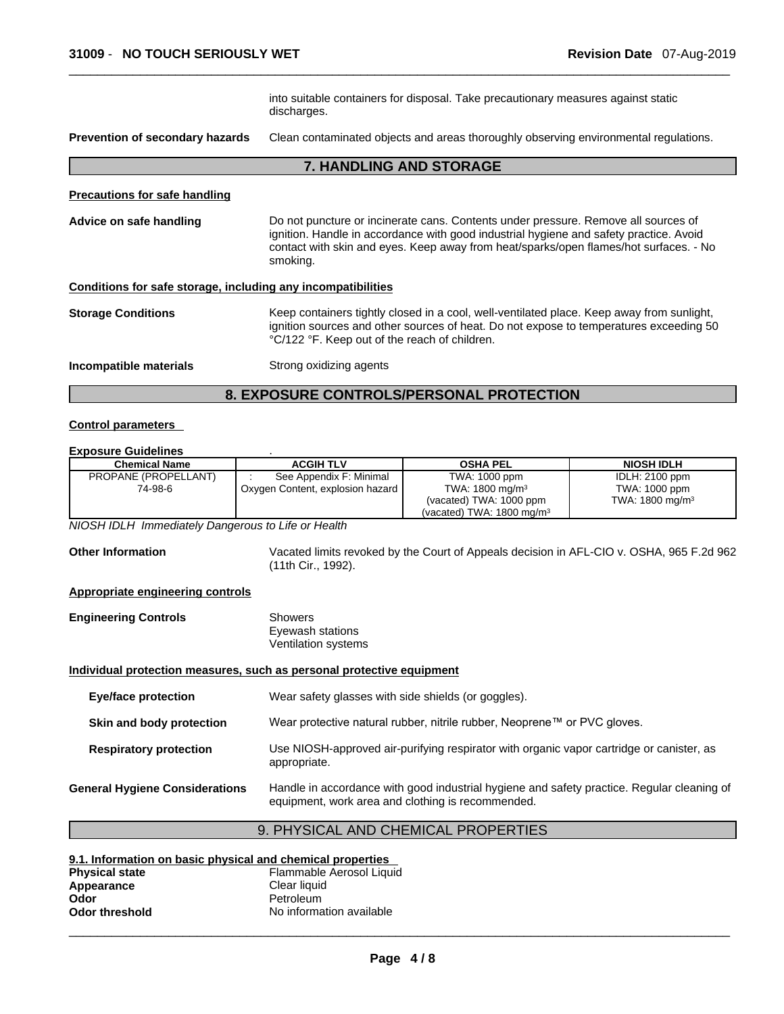|                                                              | into suitable containers for disposal. Take precautionary measures against static<br>discharges.                                                                                                                                                                                  |
|--------------------------------------------------------------|-----------------------------------------------------------------------------------------------------------------------------------------------------------------------------------------------------------------------------------------------------------------------------------|
| Prevention of secondary hazards                              | Clean contaminated objects and areas thoroughly observing environmental regulations.                                                                                                                                                                                              |
|                                                              | <b>7. HANDLING AND STORAGE</b>                                                                                                                                                                                                                                                    |
| <b>Precautions for safe handling</b>                         |                                                                                                                                                                                                                                                                                   |
| Advice on safe handling                                      | Do not puncture or incinerate cans. Contents under pressure. Remove all sources of<br>ignition. Handle in accordance with good industrial hygiene and safety practice. Avoid<br>contact with skin and eyes. Keep away from heat/sparks/open flames/hot surfaces. - No<br>smoking. |
| Conditions for safe storage, including any incompatibilities |                                                                                                                                                                                                                                                                                   |
| <b>Storage Conditions</b>                                    | Keep containers tightly closed in a cool, well-ventilated place. Keep away from sunlight,<br>ignition sources and other sources of heat. Do not expose to temperatures exceeding 50<br>°C/122 °F. Keep out of the reach of children.                                              |
| Incompatible materials                                       | Strong oxidizing agents                                                                                                                                                                                                                                                           |

# **8. EXPOSURE CONTROLS/PERSONAL PROTECTION**

#### **Control parameters**

#### **Exposure Guidelines** .

| <b>Chemical Name</b> | <b>ACGIH TLV</b>                 | <b>OSHA PEL</b>                      | <b>NIOSH IDLH</b>          |
|----------------------|----------------------------------|--------------------------------------|----------------------------|
| PROPANE (PROPELLANT) | See Appendix F: Minimal          | TWA: 1000 ppm                        | IDLH: $2100$ ppm           |
| 74-98-6              | Oxygen Content, explosion hazard | TWA: $1800 \text{ mg/m}^3$           | TWA: 1000 ppm              |
|                      |                                  | (vacated) TWA: 1000 ppm              | TWA: $1800 \text{ mg/m}^3$ |
|                      |                                  | (vacated) TWA: $1800 \text{ mg/m}^3$ |                            |

*NIOSH IDLH Immediately Dangerous to Life or Health* 

**Other Information** Vacated limits revoked by the Court of Appeals decision in AFL-CIO v.OSHA, 965 F.2d 962 (11th Cir., 1992).

#### **Appropriate engineering controls**

| <b>Engineering Controls</b> | Showers             |  |
|-----------------------------|---------------------|--|
|                             | Eyewash stations    |  |
|                             | Ventilation systems |  |

#### **Individual protection measures, such as personal protective equipment**

| Eye/face protection                   | Wear safety glasses with side shields (or goggles).                                                                                             |
|---------------------------------------|-------------------------------------------------------------------------------------------------------------------------------------------------|
| Skin and body protection              | Wear protective natural rubber, nitrile rubber, Neoprene™ or PVC gloves.                                                                        |
| <b>Respiratory protection</b>         | Use NIOSH-approved air-purifying respirator with organic vapor cartridge or canister, as<br>appropriate.                                        |
| <b>General Hygiene Considerations</b> | Handle in accordance with good industrial hygiene and safety practice. Regular cleaning of<br>equipment, work area and clothing is recommended. |

# 9. PHYSICAL AND CHEMICAL PROPERTIES

| 9.1. Information on basic physical and chemical properties |                          |  |
|------------------------------------------------------------|--------------------------|--|
| <b>Physical state</b>                                      | Flammable Aerosol Liquid |  |
| Appearance                                                 | Clear liquid             |  |
| Odor                                                       | Petroleum                |  |
| <b>Odor threshold</b>                                      | No information available |  |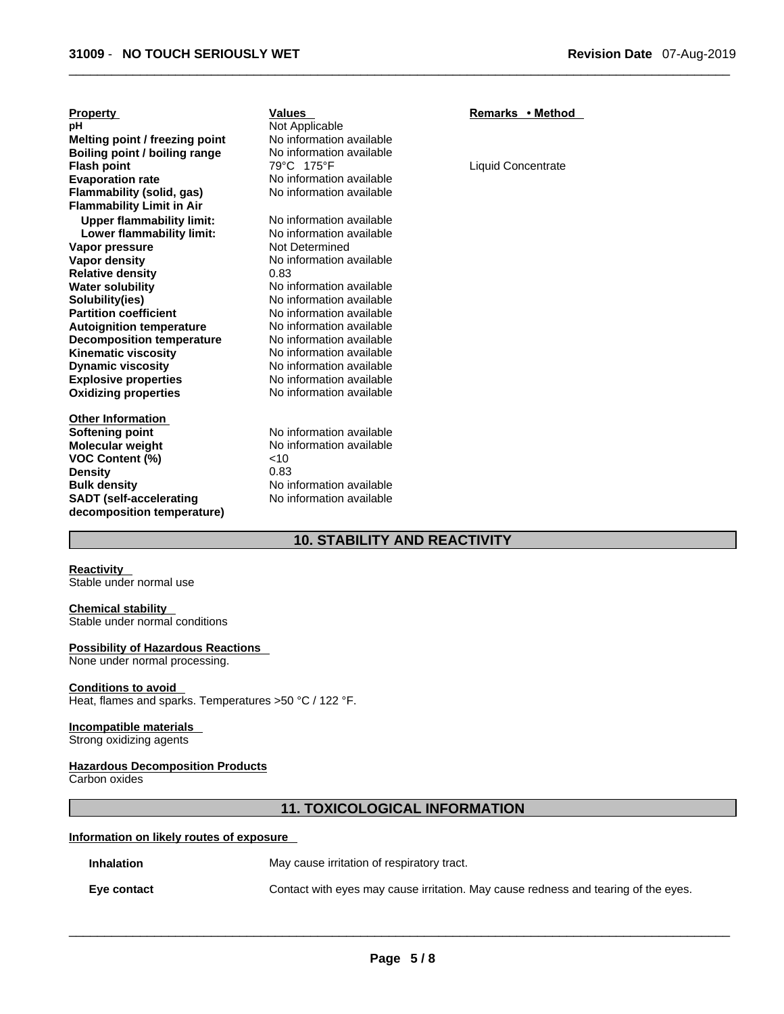| <b>Property</b>                  | <b>Values</b>            |
|----------------------------------|--------------------------|
| рH                               | Not Applicable           |
| Melting point / freezing point   | No information available |
| Boiling point / boiling range    | No information available |
| <b>Flash point</b>               | 79°C 175°F               |
| <b>Evaporation rate</b>          | No information available |
| Flammability (solid, gas)        | No information available |
| <b>Flammability Limit in Air</b> |                          |
| <b>Upper flammability limit:</b> | No information available |
| Lower flammability limit:        | No information available |
| Vapor pressure                   | Not Determined           |
| <b>Vapor density</b>             | No information available |
| <b>Relative density</b>          | 0.83                     |
| <b>Water solubility</b>          | No information available |
| Solubility(ies)                  | No information available |
| <b>Partition coefficient</b>     | No information available |
| <b>Autoignition temperature</b>  | No information available |
| <b>Decomposition temperature</b> | No information available |
| <b>Kinematic viscosity</b>       | No information available |
| <b>Dynamic viscosity</b>         | No information available |
| <b>Explosive properties</b>      | No information available |
| <b>Oxidizing properties</b>      | No information available |
| <b>Other Information</b>         |                          |
| <b>Softening point</b>           | No information available |
| Molecular weight                 | No information available |
| VOC Content (%)                  | ~10                      |
| <b>Density</b>                   | 0.83                     |
| <b>Bulk density</b>              | No information available |
| <b>SADT</b> (self-accelerating   | No information available |

**Remarks • Method** 

**Liquid Concentrate** 

# **10. STABILITY AND REACTIVITY**

# **Reactivity**

Stable under normal use

# **Chemical stability**

Stable under normal conditions

**decomposition temperature)**

#### **Possibility of Hazardous Reactions**

None under normal processing.

#### **Conditions to avoid**

Heat, flames and sparks. Temperatures >50 °C / 122 °F.

#### **Incompatible materials**

Strong oxidizing agents

#### **Hazardous Decomposition Products**

Carbon oxides

### **11. TOXICOLOGICAL INFORMATION**

#### **Information on likely routes of exposure**

**Inhalation** May cause irritation of respiratory tract.

**Eye contact Contact** Contact with eyes may cause irritation. May cause redness and tearing of the eyes.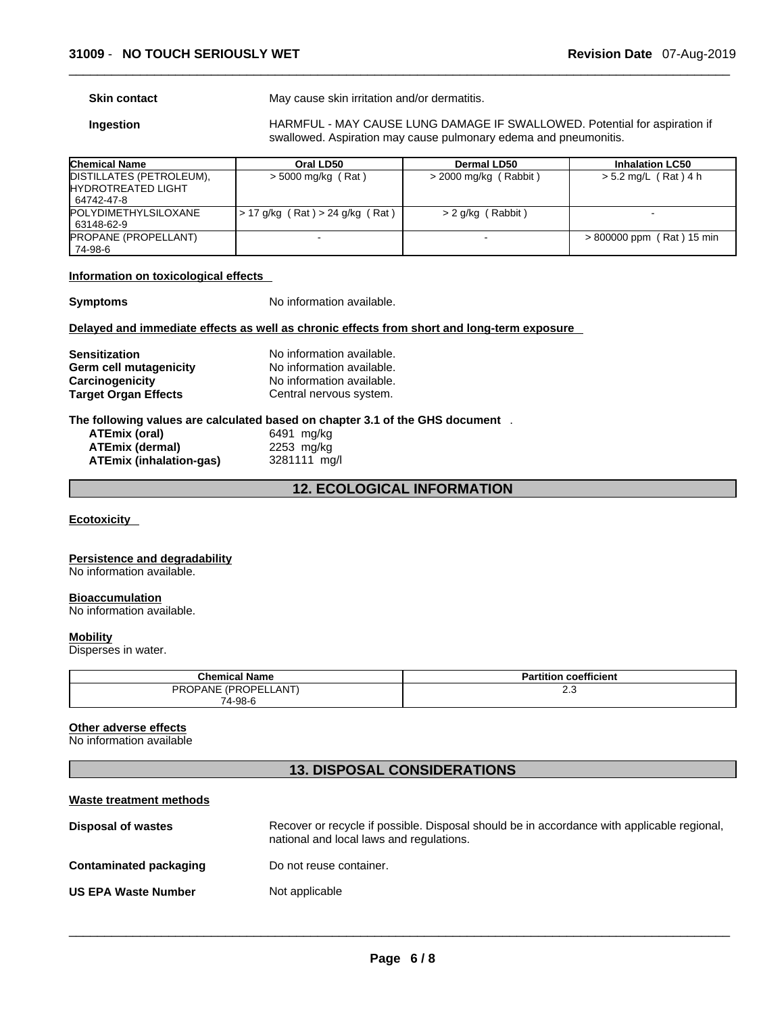**Skin contact** May cause skin irritation and/or dermatitis.

**Ingestion HARMFUL - MAY CAUSE LUNG DAMAGE IF SWALLOWED. Potential for aspiration if** swallowed. Aspiration may cause pulmonary edema and pneumonitis.

| <b>Chemical Name</b>                                                   | Oral LD50                       | Dermal LD50             | <b>Inhalation LC50</b>    |
|------------------------------------------------------------------------|---------------------------------|-------------------------|---------------------------|
| DISTILLATES (PETROLEUM),<br><b>IHYDROTREATED LIGHT</b><br>  64742-47-8 | $>$ 5000 mg/kg (Rat)            | $>$ 2000 mg/kg (Rabbit) | > 5.2 mg/L (Rat) 4 h      |
| <b>POLYDIMETHYLSILOXANE</b><br>  63148-62-9                            | > 17 g/kg (Rat) > 24 g/kg (Rat) | > 2 g/kg (Rabbit)       |                           |
| <b>PROPANE (PROPELLANT)</b><br>74-98-6                                 |                                 |                         | > 800000 ppm (Rat) 15 min |

#### **Information on toxicological effects**

**Symptoms** No information available.

#### **Delayed and immediate effects as well as chronic effects from short and long-term exposure**

| <b>Sensitization</b>        | No information available. |
|-----------------------------|---------------------------|
| Germ cell mutagenicity      | No information available. |
| Carcinogenicity             | No information available. |
| <b>Target Organ Effects</b> | Central nervous system.   |

#### **The following values are calculated based on chapter 3.1 of the GHS document** .

| ATEmix (oral)           | 6491 mg/kg   |
|-------------------------|--------------|
| ATEmix (dermal)         | 2253 mg/kg   |
| ATEmix (inhalation-gas) | 3281111 mg/l |

# **12. ECOLOGICAL INFORMATION**

#### **Ecotoxicity**

#### **Persistence and degradability**

No information available.

#### **Bioaccumulation**

No information available.

#### **Mobility**

Disperses in water.

| <b>Chemical Name</b> | <b>Partition coefficient</b> |
|----------------------|------------------------------|
| PROPANE (PROPELLANT) | ں.ے                          |
| 74-98-6              |                              |

#### **Other adverse effects**

No information available

# **13. DISPOSAL CONSIDERATIONS**

#### **Waste treatment methods**

| <b>Disposal of wastes</b>  | Recover or recycle if possible. Disposal should be in accordance with applicable regional,<br>national and local laws and regulations. |
|----------------------------|----------------------------------------------------------------------------------------------------------------------------------------|
| Contaminated packaging     | Do not reuse container.                                                                                                                |
| <b>US EPA Waste Number</b> | Not applicable                                                                                                                         |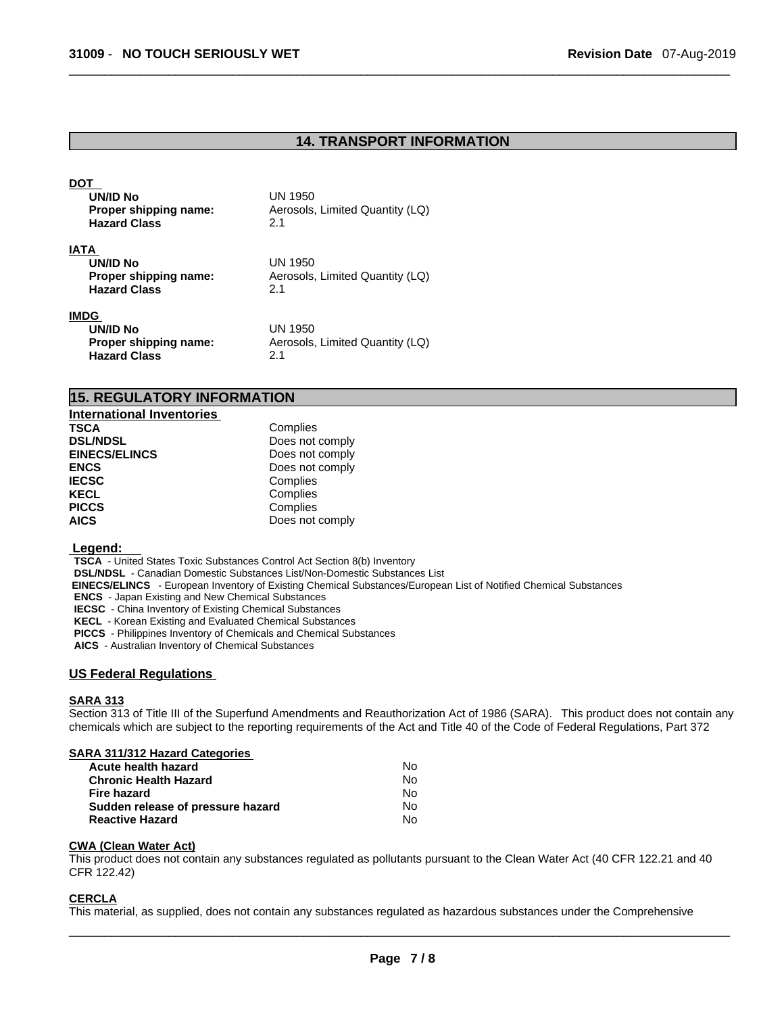# **14. TRANSPORT INFORMATION**

| DOT<br><b>UN/ID No</b><br>Proper shipping name:<br><b>Hazard Class</b> | UN 1950<br>Aerosols, Limited Quantity (LQ)<br>2.1 |  |
|------------------------------------------------------------------------|---------------------------------------------------|--|
| IATA<br>UN/ID No<br>Proper shipping name:<br><b>Hazard Class</b>       | UN 1950<br>Aerosols, Limited Quantity (LQ)<br>2.1 |  |
| <b>IMDG</b><br>UN/ID No<br>Proper shipping name:                       | UN 1950<br>Aerosols, Limited Quantity (LQ)        |  |

# **15. REGULATORY INFORMATION**

**Hazard Class** 2.1

| <b>International Inventories</b> |                 |
|----------------------------------|-----------------|
| <b>TSCA</b>                      | Complies        |
| <b>DSL/NDSL</b>                  | Does not comply |
| <b>EINECS/ELINCS</b>             | Does not comply |
| <b>ENCS</b>                      | Does not comply |
| <b>IECSC</b>                     | Complies        |
| <b>KECL</b>                      | Complies        |
| <b>PICCS</b>                     | Complies        |
| <b>AICS</b>                      | Does not comply |

# **Legend:**

**TSCA** - United States Toxic Substances Control Act Section 8(b) Inventory

**DSL/NDSL** - Canadian Domestic Substances List/Non-Domestic Substances List

 **EINECS/ELINCS** - European Inventory of Existing Chemical Substances/European List of Notified Chemical Substances

**ENCS** - Japan Existing and New Chemical Substances

**IECSC** - China Inventory of Existing Chemical Substances

**KECL** - Korean Existing and Evaluated Chemical Substances

**PICCS** - Philippines Inventory of Chemicals and Chemical Substances

**AICS** - Australian Inventory of Chemical Substances

#### **US Federal Regulations**

#### **SARA 313**

Section 313 of Title III of the Superfund Amendments and Reauthorization Act of 1986 (SARA). This product does not contain any chemicals which are subject to the reporting requirements of the Act and Title 40 of the Code of Federal Regulations, Part 372

#### **SARA 311/312 Hazard Categories**

| Acute health hazard               | No. |
|-----------------------------------|-----|
| <b>Chronic Health Hazard</b>      | N٥  |
| Fire hazard                       | No. |
| Sudden release of pressure hazard | No  |
| <b>Reactive Hazard</b>            | N٥  |

#### **CWA** (Clean Water Act)

This product does not contain any substances regulated as pollutants pursuant to the Clean Water Act (40 CFR 122.21 and 40 CFR 122.42)

#### **CERCLA**

This material, as supplied, does not contain any substances regulated as hazardous substances under the Comprehensive